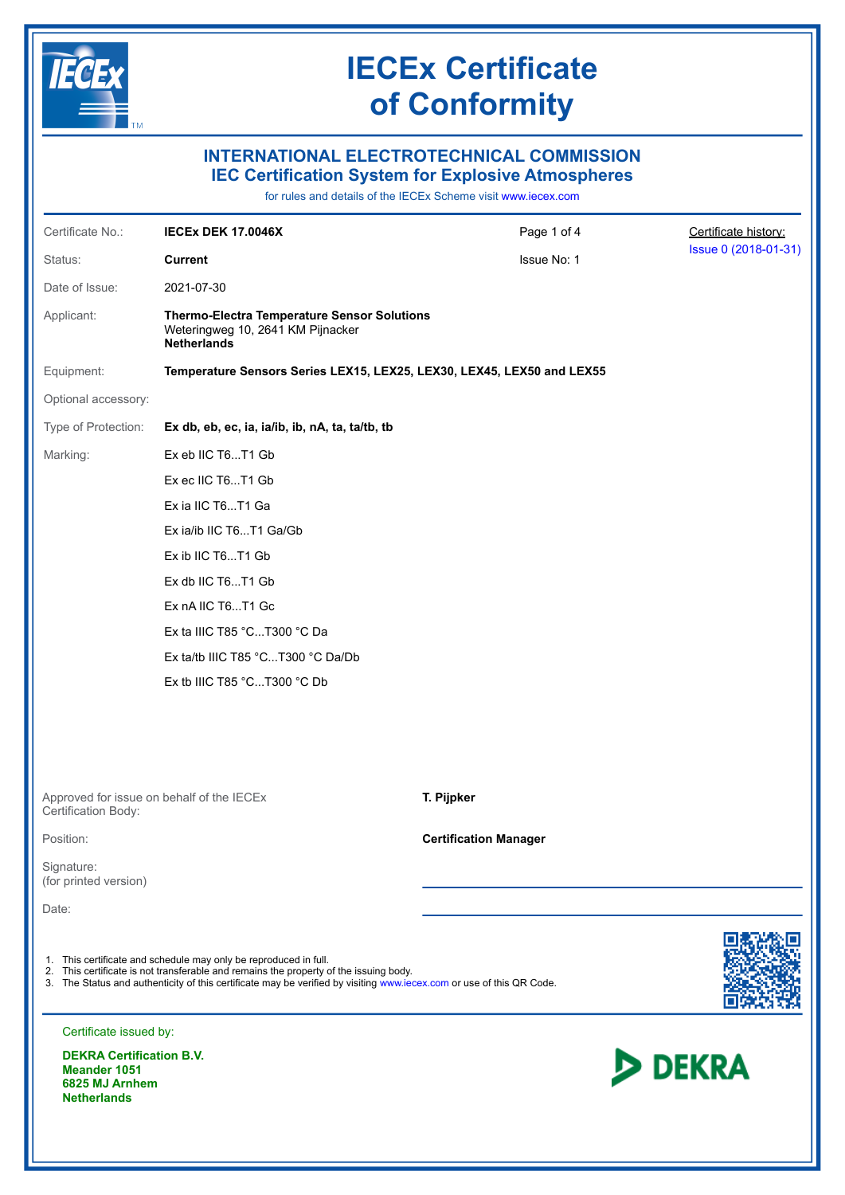

# **INTERNATIONAL ELECTROTECHNICAL COMMISSION IEC Certification System for Explosive Atmospheres**

for rules and details of the IECEx Scheme visit [www.iecex.com](https://www.iecex.com)

| Certificate No.:                    | <b>IECEX DEK 17.0046X</b>                                                                                                                                                                                                                                                         | Page 1 of 4                  | Certificate history: |  |  |
|-------------------------------------|-----------------------------------------------------------------------------------------------------------------------------------------------------------------------------------------------------------------------------------------------------------------------------------|------------------------------|----------------------|--|--|
| Status:                             | <b>Current</b>                                                                                                                                                                                                                                                                    | Issue No: 1                  | Issue 0 (2018-01-31) |  |  |
| Date of Issue:                      | 2021-07-30                                                                                                                                                                                                                                                                        |                              |                      |  |  |
| Applicant:                          | <b>Thermo-Electra Temperature Sensor Solutions</b><br>Weteringweg 10, 2641 KM Pijnacker<br><b>Netherlands</b>                                                                                                                                                                     |                              |                      |  |  |
| Equipment:                          | Temperature Sensors Series LEX15, LEX25, LEX30, LEX45, LEX50 and LEX55                                                                                                                                                                                                            |                              |                      |  |  |
| Optional accessory:                 |                                                                                                                                                                                                                                                                                   |                              |                      |  |  |
| Type of Protection:                 | Ex db, eb, ec, ia, ia/ib, ib, nA, ta, ta/tb, tb                                                                                                                                                                                                                                   |                              |                      |  |  |
| Marking:                            | Ex eb IIC T6T1 Gb                                                                                                                                                                                                                                                                 |                              |                      |  |  |
|                                     | Ex ec IIC T6T1 Gb                                                                                                                                                                                                                                                                 |                              |                      |  |  |
|                                     | Ex ia IIC T6T1 Ga                                                                                                                                                                                                                                                                 |                              |                      |  |  |
|                                     | Ex ia/ib IIC T6T1 Ga/Gb                                                                                                                                                                                                                                                           |                              |                      |  |  |
|                                     | Ex ib IIC T6T1 Gb                                                                                                                                                                                                                                                                 |                              |                      |  |  |
|                                     | Ex db IIC T6T1 Gb                                                                                                                                                                                                                                                                 |                              |                      |  |  |
|                                     | Ex nA IIC T6T1 Gc                                                                                                                                                                                                                                                                 |                              |                      |  |  |
|                                     | Ex ta IIIC T85 °CT300 °C Da                                                                                                                                                                                                                                                       |                              |                      |  |  |
|                                     | Ex ta/tb IIIC T85 °CT300 °C Da/Db                                                                                                                                                                                                                                                 |                              |                      |  |  |
|                                     | Ex tb IIIC T85 °CT300 °C Db                                                                                                                                                                                                                                                       |                              |                      |  |  |
|                                     |                                                                                                                                                                                                                                                                                   |                              |                      |  |  |
|                                     |                                                                                                                                                                                                                                                                                   |                              |                      |  |  |
| Certification Body:                 | Approved for issue on behalf of the IECEx                                                                                                                                                                                                                                         | T. Pijpker                   |                      |  |  |
| Position:                           |                                                                                                                                                                                                                                                                                   | <b>Certification Manager</b> |                      |  |  |
| Signature:<br>(for printed version) |                                                                                                                                                                                                                                                                                   |                              |                      |  |  |
| Date:                               |                                                                                                                                                                                                                                                                                   |                              |                      |  |  |
|                                     | 1. This certificate and schedule may only be reproduced in full.<br>2. This certificate is not transferable and remains the property of the issuing body.<br>3. The Status and authenticity of this certificate may be verified by visiting www.iecex.com or use of this QR Code. |                              |                      |  |  |
| Certificate issued by:              |                                                                                                                                                                                                                                                                                   |                              |                      |  |  |
| <b>DEKRA Certification B.V.</b>     |                                                                                                                                                                                                                                                                                   |                              |                      |  |  |

**DEKRA Certification B.V. Meander 1051 6825 MJ Arnhem Netherlands**

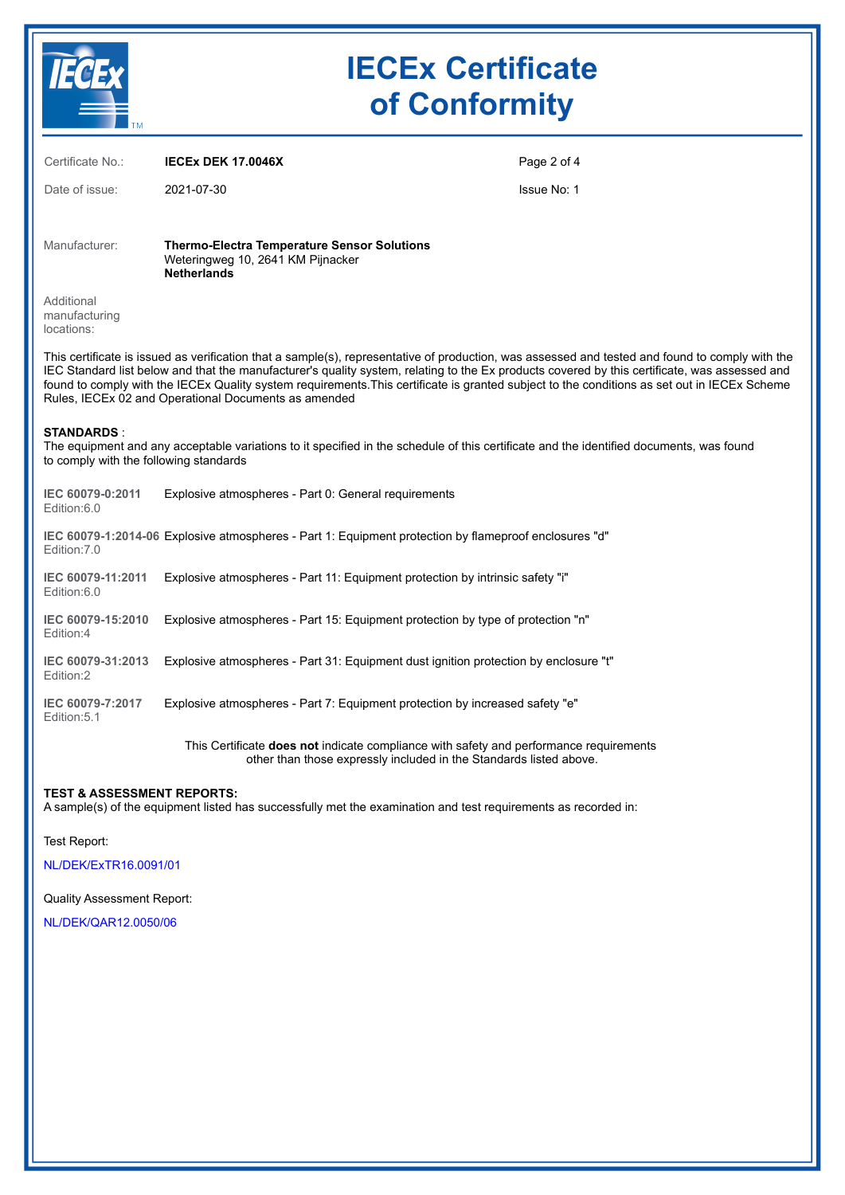

| Certificate No.:                                            | <b>IECEX DEK 17.0046X</b>                                                                                                                                                                                                                                                                                                                                                                                                                                                                                | Page 2 of 4 |
|-------------------------------------------------------------|----------------------------------------------------------------------------------------------------------------------------------------------------------------------------------------------------------------------------------------------------------------------------------------------------------------------------------------------------------------------------------------------------------------------------------------------------------------------------------------------------------|-------------|
| Date of issue:                                              | 2021-07-30                                                                                                                                                                                                                                                                                                                                                                                                                                                                                               | Issue No: 1 |
| Manufacturer:                                               | <b>Thermo-Electra Temperature Sensor Solutions</b><br>Weteringweg 10, 2641 KM Pijnacker<br><b>Netherlands</b>                                                                                                                                                                                                                                                                                                                                                                                            |             |
| Additional<br>manufacturing<br>locations:                   |                                                                                                                                                                                                                                                                                                                                                                                                                                                                                                          |             |
|                                                             | This certificate is issued as verification that a sample(s), representative of production, was assessed and tested and found to comply with the<br>IEC Standard list below and that the manufacturer's quality system, relating to the Ex products covered by this certificate, was assessed and<br>found to comply with the IECEx Quality system requirements. This certificate is granted subject to the conditions as set out in IECEx Scheme<br>Rules, IECEx 02 and Operational Documents as amended |             |
| <b>STANDARDS:</b><br>to comply with the following standards | The equipment and any acceptable variations to it specified in the schedule of this certificate and the identified documents, was found                                                                                                                                                                                                                                                                                                                                                                  |             |
| IEC 60079-0:2011<br>Edition:6.0                             | Explosive atmospheres - Part 0: General requirements                                                                                                                                                                                                                                                                                                                                                                                                                                                     |             |
| Edition: 7.0                                                | IEC 60079-1:2014-06 Explosive atmospheres - Part 1: Equipment protection by flameproof enclosures "d"                                                                                                                                                                                                                                                                                                                                                                                                    |             |
| IEC 60079-11:2011<br>Edition:6.0                            | Explosive atmospheres - Part 11: Equipment protection by intrinsic safety "i"                                                                                                                                                                                                                                                                                                                                                                                                                            |             |
| IEC 60079-15:2010<br>Edition:4                              | Explosive atmospheres - Part 15: Equipment protection by type of protection "n"                                                                                                                                                                                                                                                                                                                                                                                                                          |             |
| IEC 60079-31:2013<br>Edition:2                              | Explosive atmospheres - Part 31: Equipment dust ignition protection by enclosure "t"                                                                                                                                                                                                                                                                                                                                                                                                                     |             |
| IEC 60079-7:2017<br>Edition: 5.1                            | Explosive atmospheres - Part 7: Equipment protection by increased safety "e"                                                                                                                                                                                                                                                                                                                                                                                                                             |             |
|                                                             | This Certificate <b>does not</b> indicate compliance with safety and performance requirements<br>other than those expressly included in the Standards listed above.                                                                                                                                                                                                                                                                                                                                      |             |

#### **TEST & ASSESSMENT REPORTS:**

A sample(s) of the equipment listed has successfully met the examination and test requirements as recorded in:

Test Report:

[NL/DEK/ExTR16.0091/01](https://www.iecex-certs.com/deliverables/REPORT/72981/view)

Quality Assessment Report:

[NL/DEK/QAR12.0050/06](https://www.iecex-certs.com/deliverables/REPORT/73160/view)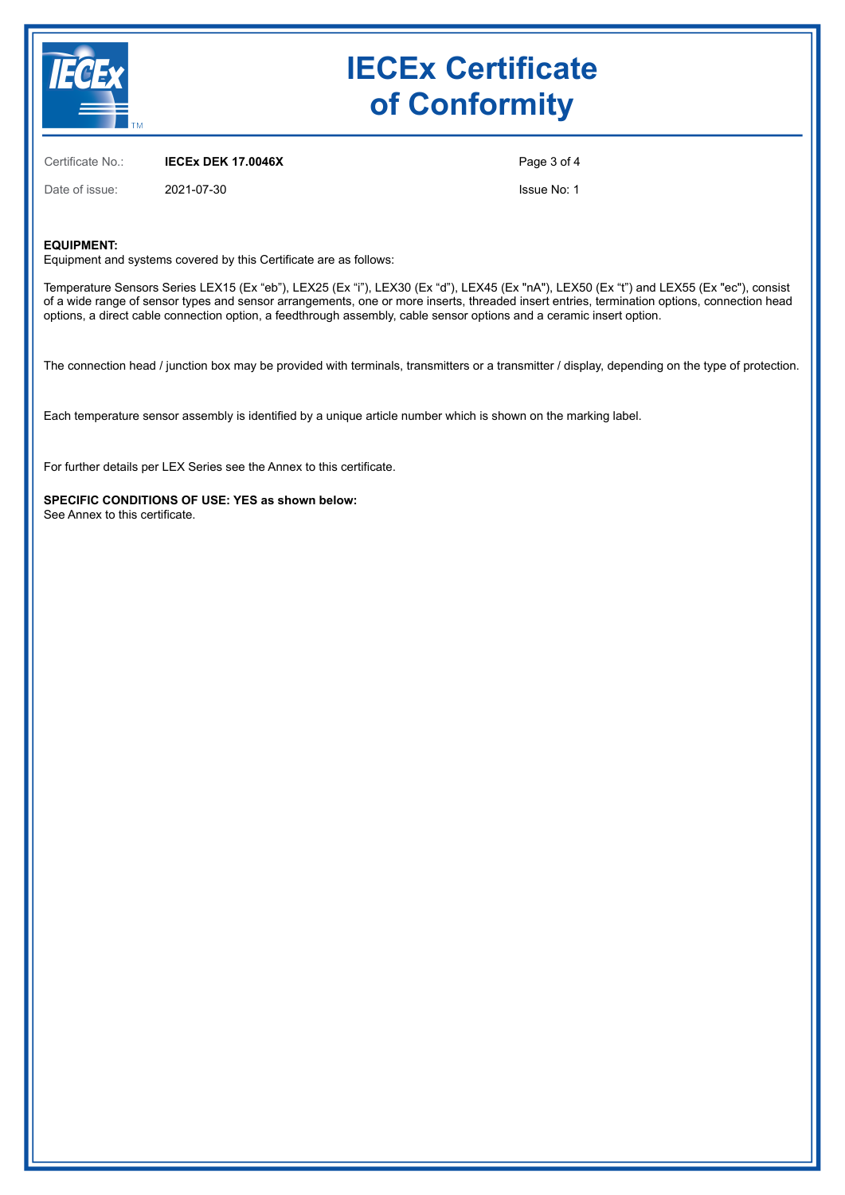

Certificate No.: **IECEx DEK 17.0046X**

Date of issue: 2021-07-30

Page 3 of 4

Issue No: 1

#### **EQUIPMENT:**

Equipment and systems covered by this Certificate are as follows:

Temperature Sensors Series LEX15 (Ex "eb"), LEX25 (Ex "i"), LEX30 (Ex "d"), LEX45 (Ex "nA"), LEX50 (Ex "t") and LEX55 (Ex "ec"), consist of a wide range of sensor types and sensor arrangements, one or more inserts, threaded insert entries, termination options, connection head options, a direct cable connection option, a feedthrough assembly, cable sensor options and a ceramic insert option.

The connection head / junction box may be provided with terminals, transmitters or a transmitter / display, depending on the type of protection.

Each temperature sensor assembly is identified by a unique article number which is shown on the marking label.

For further details per LEX Series see the Annex to this certificate.

**SPECIFIC CONDITIONS OF USE: YES as shown below:** See Annex to this certificate.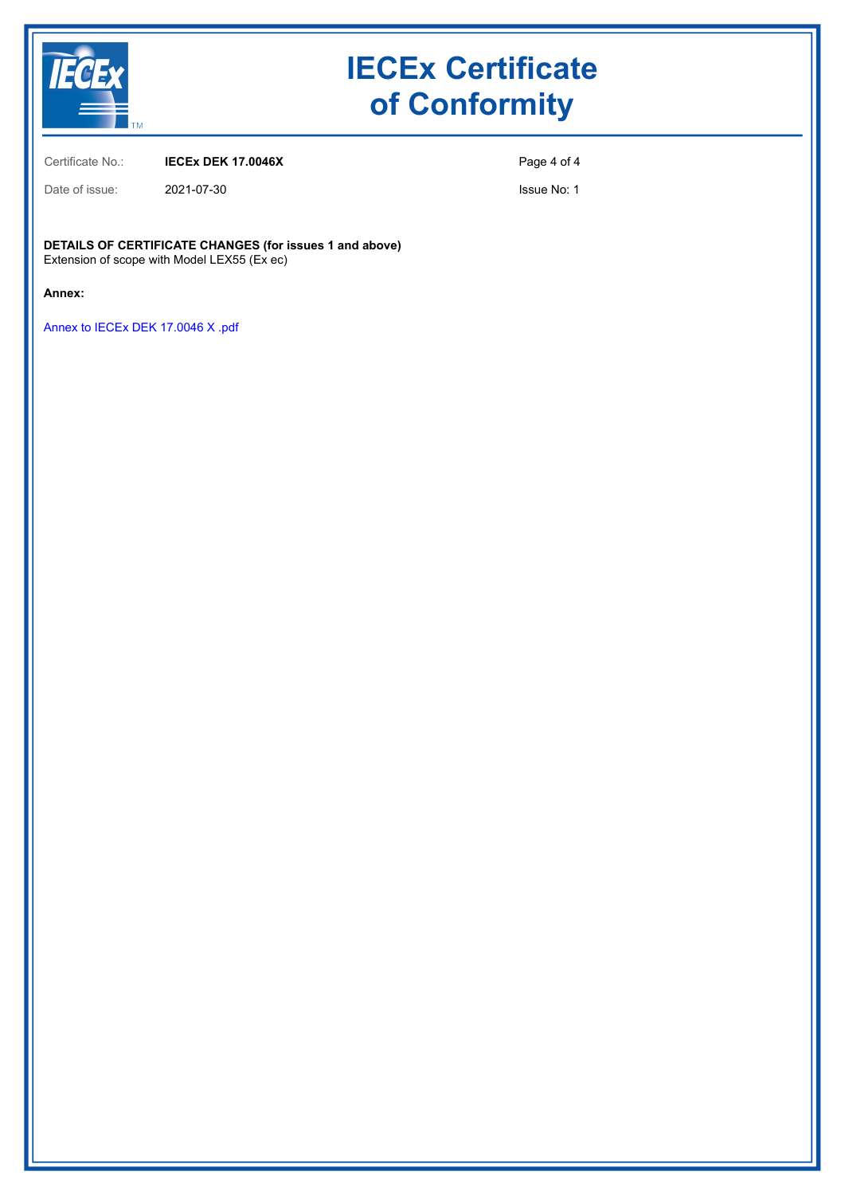

Certificate No.: **IECEx DEK 17.0046X**

Date of issue: 2021-07-30

Page 4 of 4

Issue No: 1

**DETAILS OF CERTIFICATE CHANGES (for issues 1 and above)** Extension of scope with Model LEX55 (Ex ec)

**Annex:**

[Annex to IECEx DEK 17.0046 X .pdf](https://www.iecex-certs.com/deliverables/CERT/53685/view)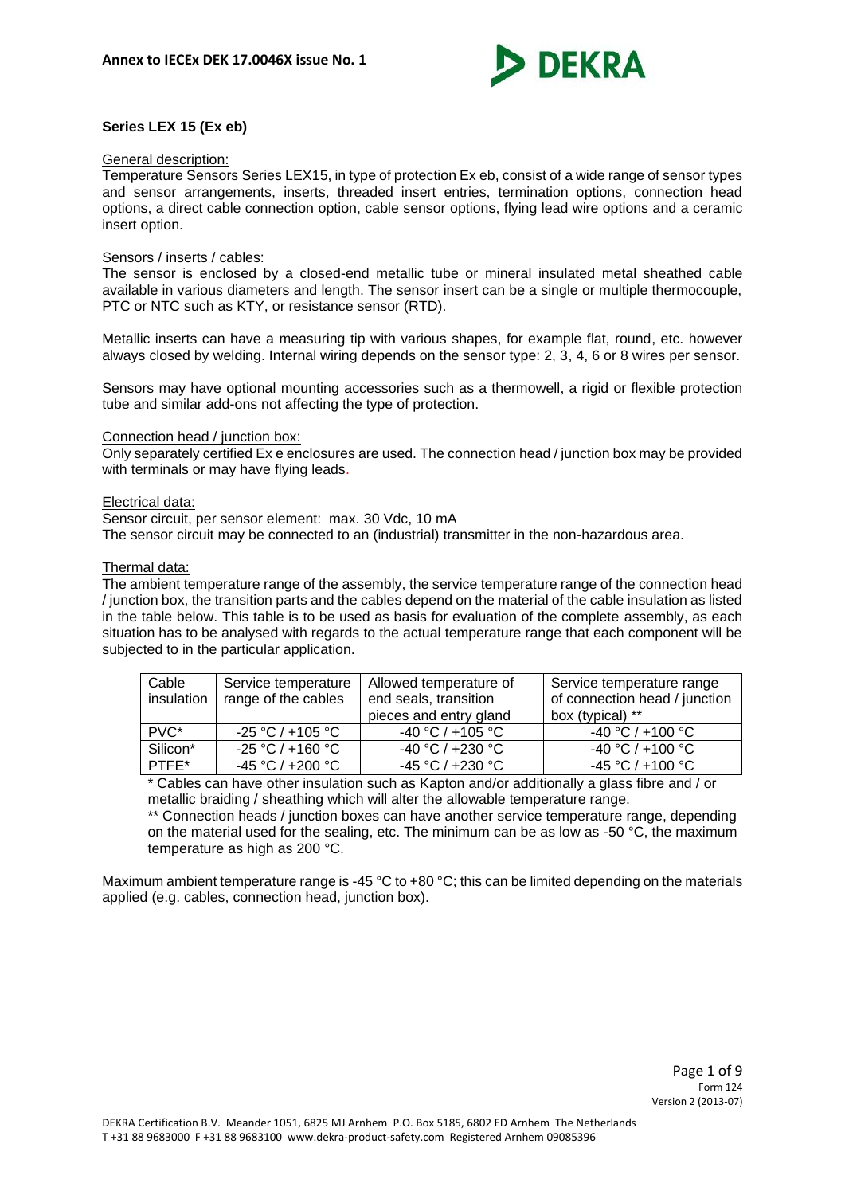

# **Series LEX 15 (Ex eb)**

#### General description:

Temperature Sensors Series LEX15, in type of protection Ex eb, consist of a wide range of sensor types and sensor arrangements, inserts, threaded insert entries, termination options, connection head options, a direct cable connection option, cable sensor options, flying lead wire options and a ceramic insert option.

#### Sensors / inserts / cables:

The sensor is enclosed by a closed-end metallic tube or mineral insulated metal sheathed cable available in various diameters and length. The sensor insert can be a single or multiple thermocouple, PTC or NTC such as KTY, or resistance sensor (RTD).

Metallic inserts can have a measuring tip with various shapes, for example flat, round, etc. however always closed by welding. Internal wiring depends on the sensor type: 2, 3, 4, 6 or 8 wires per sensor.

Sensors may have optional mounting accessories such as a thermowell, a rigid or flexible protection tube and similar add-ons not affecting the type of protection.

# Connection head / junction box:

Only separately certified Ex e enclosures are used. The connection head / junction box may be provided with terminals or may have flying leads.

#### Electrical data:

Sensor circuit, per sensor element: max. 30 Vdc, 10 mA

The sensor circuit may be connected to an (industrial) transmitter in the non-hazardous area.

#### Thermal data:

The ambient temperature range of the assembly, the service temperature range of the connection head / junction box, the transition parts and the cables depend on the material of the cable insulation as listed in the table below. This table is to be used as basis for evaluation of the complete assembly, as each situation has to be analysed with regards to the actual temperature range that each component will be subjected to in the particular application.

| Cable<br>insulation | Service temperature<br>range of the cables | Allowed temperature of<br>end seals, transition<br>pieces and entry gland | Service temperature range<br>of connection head / junction<br>box (typical) ** |
|---------------------|--------------------------------------------|---------------------------------------------------------------------------|--------------------------------------------------------------------------------|
| PVC*                | $-25 °C / +105 °C$                         | -40 °C / +105 °C                                                          | $-40 °C / +100 °C$                                                             |
| Silicon*            | $-25 °C / +160 °C$                         | $-40 °C / +230 °C$                                                        | $-40 °C / +100 °C$                                                             |
| PTFE*               | $-45 °C / +200 °C$                         | $-45 °C / +230 °C$                                                        | $-45 °C / +100 °C$                                                             |

\* Cables can have other insulation such as Kapton and/or additionally a glass fibre and / or metallic braiding / sheathing which will alter the allowable temperature range.

\*\* Connection heads / junction boxes can have another service temperature range, depending on the material used for the sealing, etc. The minimum can be as low as -50 °C, the maximum temperature as high as 200 °C.

Maximum ambient temperature range is -45 °C to +80 °C; this can be limited depending on the materials applied (e.g. cables, connection head, junction box).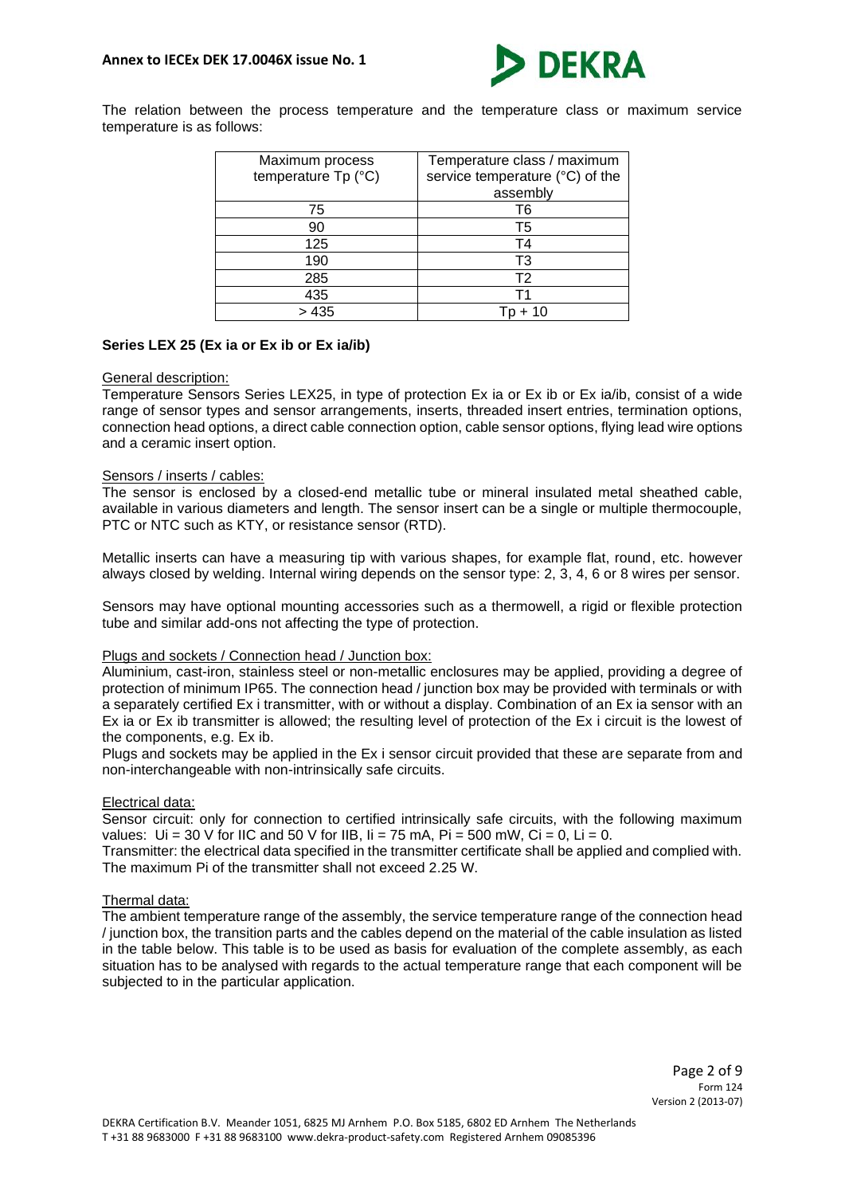

The relation between the process temperature and the temperature class or maximum service temperature is as follows:

| Maximum process     | Temperature class / maximum     |
|---------------------|---------------------------------|
| temperature Tp (°C) | service temperature (°C) of the |
|                     | assembly                        |
| 75                  | T6                              |
| 90                  | T5                              |
| 125                 | Τ4                              |
| 190                 | T3                              |
| 285                 | T <sub>2</sub>                  |
| 435                 | Т1                              |
| > 435               |                                 |

# **Series LEX 25 (Ex ia or Ex ib or Ex ia/ib)**

#### General description:

Temperature Sensors Series LEX25, in type of protection Ex ia or Ex ib or Ex ia/ib, consist of a wide range of sensor types and sensor arrangements, inserts, threaded insert entries, termination options, connection head options, a direct cable connection option, cable sensor options, flying lead wire options and a ceramic insert option.

#### Sensors / inserts / cables:

The sensor is enclosed by a closed-end metallic tube or mineral insulated metal sheathed cable, available in various diameters and length. The sensor insert can be a single or multiple thermocouple, PTC or NTC such as KTY, or resistance sensor (RTD).

Metallic inserts can have a measuring tip with various shapes, for example flat, round, etc. however always closed by welding. Internal wiring depends on the sensor type: 2, 3, 4, 6 or 8 wires per sensor.

Sensors may have optional mounting accessories such as a thermowell, a rigid or flexible protection tube and similar add-ons not affecting the type of protection.

#### Plugs and sockets / Connection head / Junction box:

Aluminium, cast-iron, stainless steel or non-metallic enclosures may be applied, providing a degree of protection of minimum IP65. The connection head / junction box may be provided with terminals or with a separately certified Ex i transmitter, with or without a display. Combination of an Ex ia sensor with an Ex ia or Ex ib transmitter is allowed; the resulting level of protection of the Ex i circuit is the lowest of the components, e.g. Ex ib.

Plugs and sockets may be applied in the Ex i sensor circuit provided that these are separate from and non-interchangeable with non-intrinsically safe circuits.

#### Electrical data:

Sensor circuit: only for connection to certified intrinsically safe circuits, with the following maximum values:  $Ui = 30 V$  for IIC and 50 V for IIB,  $I = 75$  mA,  $Pi = 500$  mW,  $Ci = 0$ ,  $Li = 0$ .

Transmitter: the electrical data specified in the transmitter certificate shall be applied and complied with. The maximum Pi of the transmitter shall not exceed 2.25 W.

#### Thermal data:

The ambient temperature range of the assembly, the service temperature range of the connection head / junction box, the transition parts and the cables depend on the material of the cable insulation as listed in the table below. This table is to be used as basis for evaluation of the complete assembly, as each situation has to be analysed with regards to the actual temperature range that each component will be subjected to in the particular application.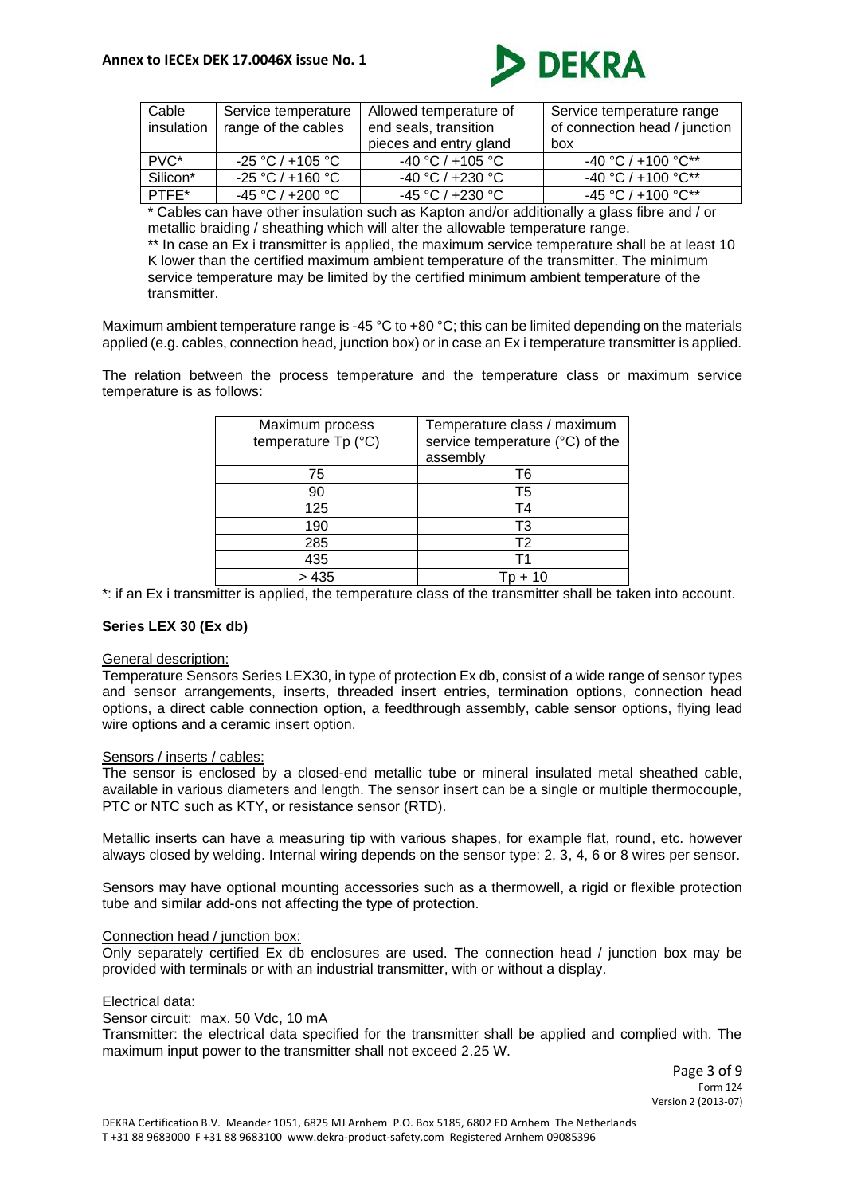

| Cable            | Service temperature | Allowed temperature of | Service temperature range     |
|------------------|---------------------|------------------------|-------------------------------|
| insulation       | range of the cables | end seals, transition  | of connection head / junction |
|                  |                     | pieces and entry gland | box                           |
| PVC <sup>*</sup> | $-25 °C / +105 °C$  | $-40 °C / +105 °C$     | $-40$ °C / $+100$ °C**        |
| Silicon*         | $-25 °C / +160 °C$  | $-40 °C / +230 °C$     | $-40$ °C / $+100$ °C**        |
| PTFE*            | $-45 °C / +200 °C$  | $-45 °C / +230 °C$     | $-45$ °C / +100 °C**          |

\* Cables can have other insulation such as Kapton and/or additionally a glass fibre and / or metallic braiding / sheathing which will alter the allowable temperature range. \*\* In case an Ex i transmitter is applied, the maximum service temperature shall be at least 10 K lower than the certified maximum ambient temperature of the transmitter. The minimum service temperature may be limited by the certified minimum ambient temperature of the transmitter.

Maximum ambient temperature range is -45 °C to +80 °C; this can be limited depending on the materials applied (e.g. cables, connection head, junction box) or in case an Ex i temperature transmitter is applied.

The relation between the process temperature and the temperature class or maximum service temperature is as follows:

| Maximum process<br>temperature Tp (°C) | Temperature class / maximum<br>service temperature (°C) of the<br>assembly |
|----------------------------------------|----------------------------------------------------------------------------|
| 75                                     | T6                                                                         |
| 90                                     | T5                                                                         |
| 125                                    | T4                                                                         |
| 190                                    | T3                                                                         |
| 285                                    | T <sub>2</sub>                                                             |
| 435                                    |                                                                            |
| > 435                                  |                                                                            |

\*: if an Ex i transmitter is applied, the temperature class of the transmitter shall be taken into account.

# **Series LEX 30 (Ex db)**

#### General description:

Temperature Sensors Series LEX30, in type of protection Ex db, consist of a wide range of sensor types and sensor arrangements, inserts, threaded insert entries, termination options, connection head options, a direct cable connection option, a feedthrough assembly, cable sensor options, flying lead wire options and a ceramic insert option.

# Sensors / inserts / cables:

The sensor is enclosed by a closed-end metallic tube or mineral insulated metal sheathed cable, available in various diameters and length. The sensor insert can be a single or multiple thermocouple, PTC or NTC such as KTY, or resistance sensor (RTD).

Metallic inserts can have a measuring tip with various shapes, for example flat, round, etc. however always closed by welding. Internal wiring depends on the sensor type: 2, 3, 4, 6 or 8 wires per sensor.

Sensors may have optional mounting accessories such as a thermowell, a rigid or flexible protection tube and similar add-ons not affecting the type of protection.

#### Connection head / junction box:

Only separately certified Ex db enclosures are used. The connection head / junction box may be provided with terminals or with an industrial transmitter, with or without a display.

### Electrical data:

Sensor circuit: max. 50 Vdc, 10 mA

Transmitter: the electrical data specified for the transmitter shall be applied and complied with. The maximum input power to the transmitter shall not exceed 2.25 W.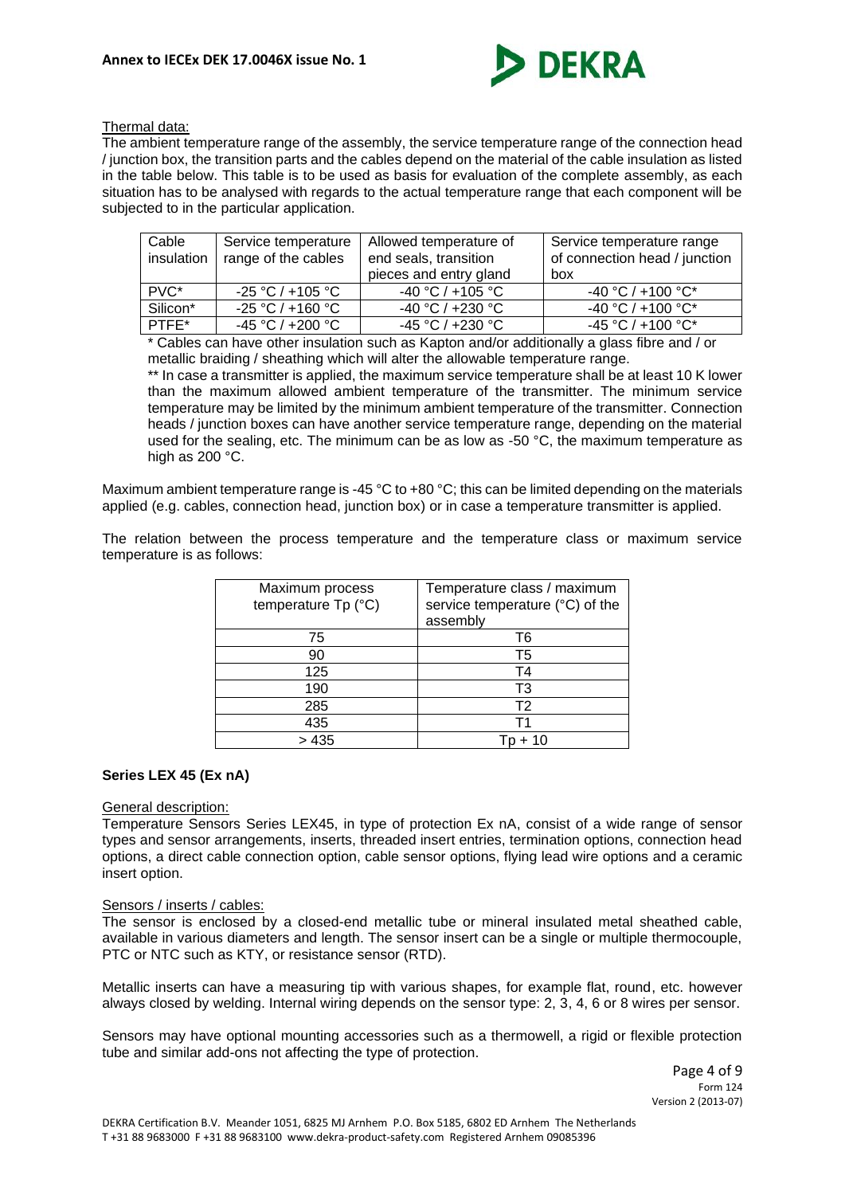

### Thermal data:

The ambient temperature range of the assembly, the service temperature range of the connection head / junction box, the transition parts and the cables depend on the material of the cable insulation as listed in the table below. This table is to be used as basis for evaluation of the complete assembly, as each situation has to be analysed with regards to the actual temperature range that each component will be subjected to in the particular application.

| Cable<br>insulation | Service temperature<br>range of the cables | Allowed temperature of<br>end seals, transition | Service temperature range<br>of connection head / junction |
|---------------------|--------------------------------------------|-------------------------------------------------|------------------------------------------------------------|
|                     |                                            | pieces and entry gland                          | box                                                        |
| PVC <sup>*</sup>    | $-25 °C / +105 °C$                         | $-40 °C / +105 °C$                              | $-40 °C / +100 °C^*$                                       |
| Silicon*            | $-25 °C / +160 °C$                         | $-40 °C / +230 °C$                              | $-40 °C / +100 °C^*$                                       |
| $PTFE^*$            | $-45 °C / +200 °C$                         | $-45 °C / +230 °C$                              | $-45 °C / +100 °C^*$                                       |

\* Cables can have other insulation such as Kapton and/or additionally a glass fibre and / or metallic braiding / sheathing which will alter the allowable temperature range.

\*\* In case a transmitter is applied, the maximum service temperature shall be at least 10 K lower than the maximum allowed ambient temperature of the transmitter. The minimum service temperature may be limited by the minimum ambient temperature of the transmitter. Connection heads / junction boxes can have another service temperature range, depending on the material used for the sealing, etc. The minimum can be as low as -50  $^{\circ}$ C, the maximum temperature as high as 200 °C.

Maximum ambient temperature range is -45 °C to +80 °C; this can be limited depending on the materials applied (e.g. cables, connection head, junction box) or in case a temperature transmitter is applied.

The relation between the process temperature and the temperature class or maximum service temperature is as follows:

| Maximum process<br>temperature Tp (°C) | Temperature class / maximum<br>service temperature (°C) of the<br>assembly |
|----------------------------------------|----------------------------------------------------------------------------|
| 75                                     | T6                                                                         |
| 90                                     | T5                                                                         |
| 125                                    | T4                                                                         |
| 190                                    | T3                                                                         |
| 285                                    | T <sub>2</sub>                                                             |
| 435                                    |                                                                            |
| > 435                                  |                                                                            |

#### **Series LEX 45 (Ex nA)**

#### General description:

Temperature Sensors Series LEX45, in type of protection Ex nA, consist of a wide range of sensor types and sensor arrangements, inserts, threaded insert entries, termination options, connection head options, a direct cable connection option, cable sensor options, flying lead wire options and a ceramic insert option.

#### Sensors / inserts / cables:

The sensor is enclosed by a closed-end metallic tube or mineral insulated metal sheathed cable, available in various diameters and length. The sensor insert can be a single or multiple thermocouple, PTC or NTC such as KTY, or resistance sensor (RTD).

Metallic inserts can have a measuring tip with various shapes, for example flat, round, etc. however always closed by welding. Internal wiring depends on the sensor type: 2, 3, 4, 6 or 8 wires per sensor.

Sensors may have optional mounting accessories such as a thermowell, a rigid or flexible protection tube and similar add-ons not affecting the type of protection.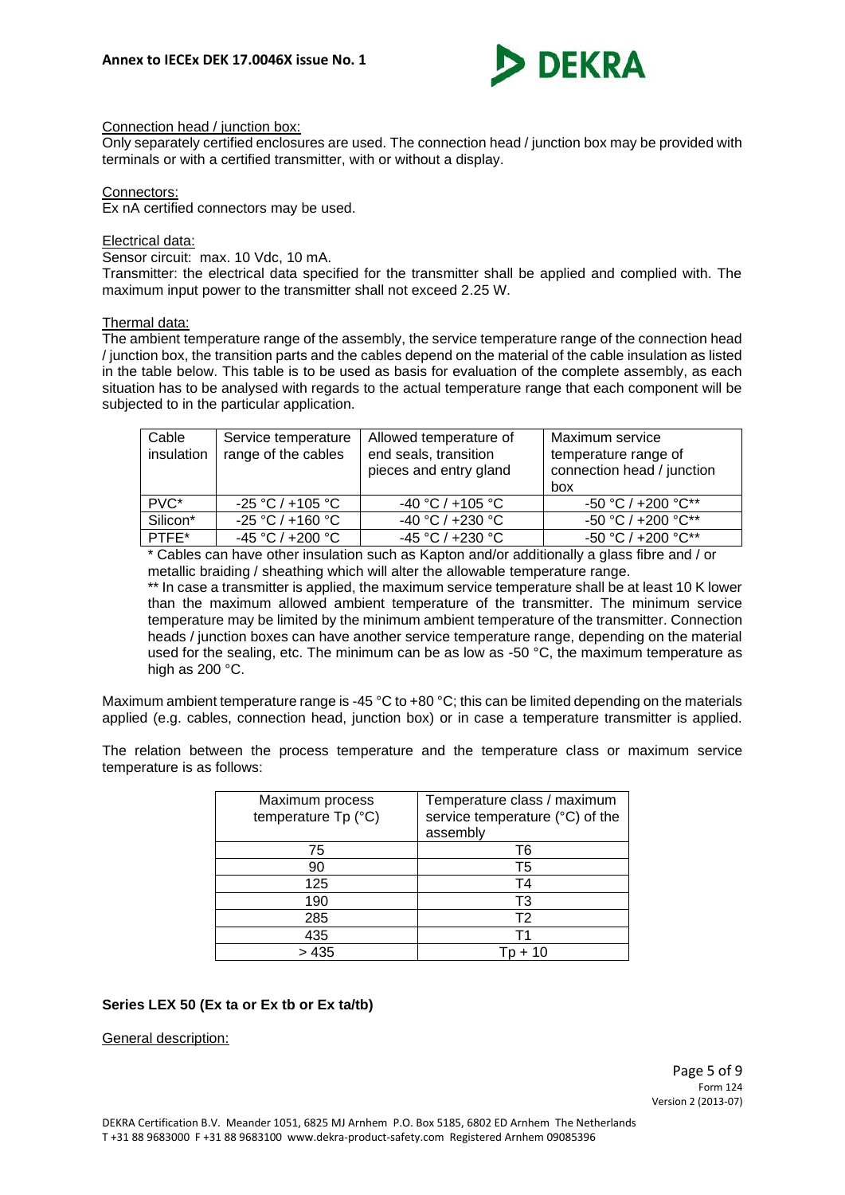

### Connection head / junction box:

Only separately certified enclosures are used. The connection head / junction box may be provided with terminals or with a certified transmitter, with or without a display.

#### Connectors:

Ex nA certified connectors may be used.

# Electrical data:

Sensor circuit: max. 10 Vdc, 10 mA.

Transmitter: the electrical data specified for the transmitter shall be applied and complied with. The maximum input power to the transmitter shall not exceed 2.25 W.

# Thermal data:

The ambient temperature range of the assembly, the service temperature range of the connection head / junction box, the transition parts and the cables depend on the material of the cable insulation as listed in the table below. This table is to be used as basis for evaluation of the complete assembly, as each situation has to be analysed with regards to the actual temperature range that each component will be subjected to in the particular application.

| Cable<br>insulation | Service temperature<br>range of the cables | Allowed temperature of<br>end seals, transition<br>pieces and entry gland | Maximum service<br>temperature range of<br>connection head / junction<br>box |
|---------------------|--------------------------------------------|---------------------------------------------------------------------------|------------------------------------------------------------------------------|
| PVC*                | $-25 °C / +105 °C$                         | $-40 °C / +105 °C$                                                        | $-50$ °C / $+200$ °C**                                                       |
| Silicon*            | $-25 °C / +160 °C$                         | $-40 °C / +230 °C$                                                        | $-50 °C / +200 °C^{**}$                                                      |
| PTFE*               | $-45 °C / +200 °C$                         | $-45 °C / +230 °C$                                                        | -50 °C / +200 °C**                                                           |

\* Cables can have other insulation such as Kapton and/or additionally a glass fibre and / or metallic braiding / sheathing which will alter the allowable temperature range.

\*\* In case a transmitter is applied, the maximum service temperature shall be at least 10 K lower than the maximum allowed ambient temperature of the transmitter. The minimum service temperature may be limited by the minimum ambient temperature of the transmitter. Connection heads / junction boxes can have another service temperature range, depending on the material used for the sealing, etc. The minimum can be as low as -50  $^{\circ}$ C, the maximum temperature as high as 200 °C.

Maximum ambient temperature range is -45 °C to +80 °C; this can be limited depending on the materials applied (e.g. cables, connection head, junction box) or in case a temperature transmitter is applied.

The relation between the process temperature and the temperature class or maximum service temperature is as follows:

| Maximum process<br>temperature Tp (°C) | Temperature class / maximum<br>service temperature (°C) of the<br>assembly |
|----------------------------------------|----------------------------------------------------------------------------|
| 75                                     | T6                                                                         |
| 90                                     | T5                                                                         |
| 125                                    | T4                                                                         |
| 190                                    | T3                                                                         |
| 285                                    | T <sub>2</sub>                                                             |
| 435                                    |                                                                            |
| > 435                                  | $+10$                                                                      |

# **Series LEX 50 (Ex ta or Ex tb or Ex ta/tb)**

General description: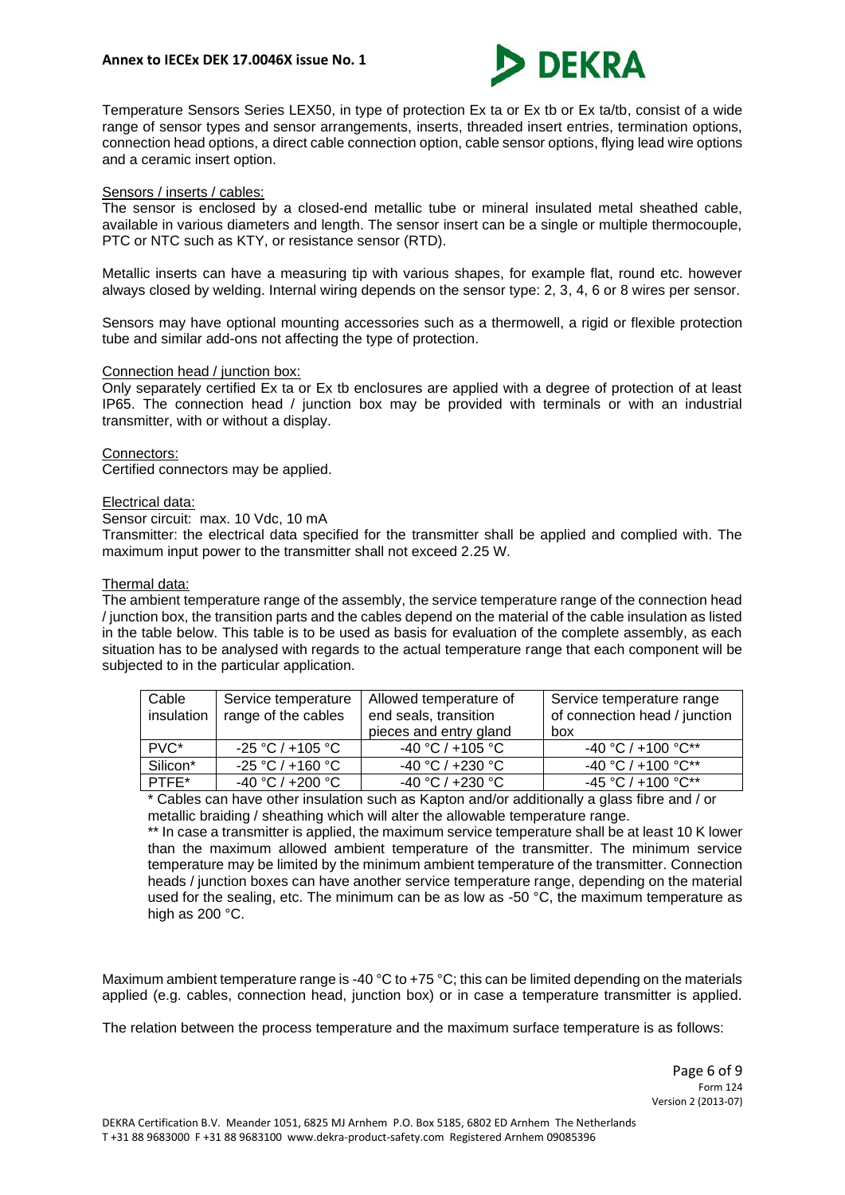

Temperature Sensors Series LEX50, in type of protection Ex ta or Ex tb or Ex ta/tb, consist of a wide range of sensor types and sensor arrangements, inserts, threaded insert entries, termination options, connection head options, a direct cable connection option, cable sensor options, flying lead wire options and a ceramic insert option.

# Sensors / inserts / cables:

The sensor is enclosed by a closed-end metallic tube or mineral insulated metal sheathed cable, available in various diameters and length. The sensor insert can be a single or multiple thermocouple, PTC or NTC such as KTY, or resistance sensor (RTD).

Metallic inserts can have a measuring tip with various shapes, for example flat, round etc. however always closed by welding. Internal wiring depends on the sensor type: 2, 3, 4, 6 or 8 wires per sensor.

Sensors may have optional mounting accessories such as a thermowell, a rigid or flexible protection tube and similar add-ons not affecting the type of protection.

# Connection head / junction box:

Only separately certified Ex ta or Ex tb enclosures are applied with a degree of protection of at least IP65. The connection head / junction box may be provided with terminals or with an industrial transmitter, with or without a display.

#### Connectors:

Certified connectors may be applied.

#### Electrical data:

Sensor circuit: max. 10 Vdc, 10 mA

Transmitter: the electrical data specified for the transmitter shall be applied and complied with. The maximum input power to the transmitter shall not exceed 2.25 W.

#### Thermal data:

The ambient temperature range of the assembly, the service temperature range of the connection head / junction box, the transition parts and the cables depend on the material of the cable insulation as listed in the table below. This table is to be used as basis for evaluation of the complete assembly, as each situation has to be analysed with regards to the actual temperature range that each component will be subjected to in the particular application.

| Cable<br>insulation | Service temperature<br>range of the cables | Allowed temperature of<br>end seals, transition<br>pieces and entry gland | Service temperature range<br>of connection head / junction<br>box |
|---------------------|--------------------------------------------|---------------------------------------------------------------------------|-------------------------------------------------------------------|
| PVC*                | $-25 °C / +105 °C$                         | $-40 °C / +105 °C$                                                        | $-40$ °C / $+100$ °C**                                            |
| Silicon*            | -25 °C / +160 °C                           | $-40 °C / +230 °C$                                                        | $-40$ °C / $+100$ °C**                                            |
| PTFF*               | -40 °C / +200 °C                           | $-40 °C / +230 °C$                                                        | $-45$ °C / +100 °C**                                              |

\* Cables can have other insulation such as Kapton and/or additionally a glass fibre and / or metallic braiding / sheathing which will alter the allowable temperature range.

\*\* In case a transmitter is applied, the maximum service temperature shall be at least 10 K lower than the maximum allowed ambient temperature of the transmitter. The minimum service temperature may be limited by the minimum ambient temperature of the transmitter. Connection heads / junction boxes can have another service temperature range, depending on the material used for the sealing, etc. The minimum can be as low as -50  $^{\circ}$ C, the maximum temperature as high as 200 °C.

Maximum ambient temperature range is -40 °C to +75 °C; this can be limited depending on the materials applied (e.g. cables, connection head, junction box) or in case a temperature transmitter is applied.

The relation between the process temperature and the maximum surface temperature is as follows: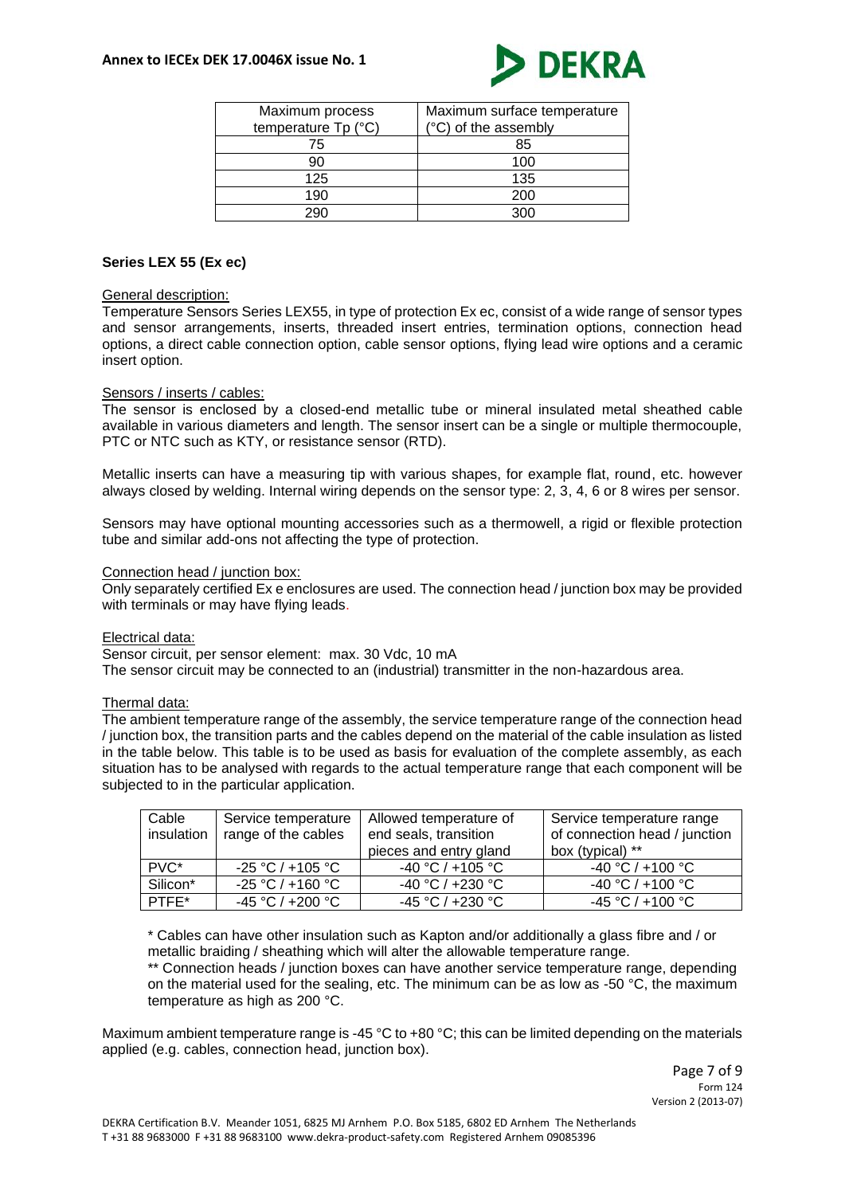

| Maximum process     | Maximum surface temperature |
|---------------------|-----------------------------|
| temperature Tp (°C) | (°C) of the assembly        |
| 75                  | 85                          |
| 90                  | 100                         |
| 125                 | 135                         |
| 190                 | 200                         |
|                     | ∩∩י                         |

# **Series LEX 55 (Ex ec)**

#### General description:

Temperature Sensors Series LEX55, in type of protection Ex ec, consist of a wide range of sensor types and sensor arrangements, inserts, threaded insert entries, termination options, connection head options, a direct cable connection option, cable sensor options, flying lead wire options and a ceramic insert option.

#### Sensors / inserts / cables:

The sensor is enclosed by a closed-end metallic tube or mineral insulated metal sheathed cable available in various diameters and length. The sensor insert can be a single or multiple thermocouple, PTC or NTC such as KTY, or resistance sensor (RTD).

Metallic inserts can have a measuring tip with various shapes, for example flat, round, etc. however always closed by welding. Internal wiring depends on the sensor type: 2, 3, 4, 6 or 8 wires per sensor.

Sensors may have optional mounting accessories such as a thermowell, a rigid or flexible protection tube and similar add-ons not affecting the type of protection.

#### Connection head / junction box:

Only separately certified Ex e enclosures are used. The connection head / junction box may be provided with terminals or may have flying leads.

#### Electrical data:

Sensor circuit, per sensor element: max. 30 Vdc, 10 mA The sensor circuit may be connected to an (industrial) transmitter in the non-hazardous area.

#### Thermal data:

The ambient temperature range of the assembly, the service temperature range of the connection head / junction box, the transition parts and the cables depend on the material of the cable insulation as listed in the table below. This table is to be used as basis for evaluation of the complete assembly, as each situation has to be analysed with regards to the actual temperature range that each component will be subjected to in the particular application.

| Cable<br>insulation | Service temperature<br>range of the cables | Allowed temperature of<br>end seals, transition | Service temperature range<br>of connection head / junction |
|---------------------|--------------------------------------------|-------------------------------------------------|------------------------------------------------------------|
|                     |                                            | pieces and entry gland                          | box (typical) **                                           |
| PVC <sup>*</sup>    | $-25 °C / +105 °C$                         | $-40 °C / +105 °C$                              | $-40 °C / +100 °C$                                         |
| Silicon*            | $-25 °C / +160 °C$                         | $-40 °C / +230 °C$                              | -40 °C / +100 °C                                           |
| PTFF*               | -45 °C / +200 °C                           | $-45 °C / +230 °C$                              | -45 °C / +100 °C                                           |

\* Cables can have other insulation such as Kapton and/or additionally a glass fibre and / or metallic braiding / sheathing which will alter the allowable temperature range.

\*\* Connection heads / junction boxes can have another service temperature range, depending on the material used for the sealing, etc. The minimum can be as low as -50  $^{\circ}$ C, the maximum temperature as high as 200 °C.

Maximum ambient temperature range is -45 °C to +80 °C; this can be limited depending on the materials applied (e.g. cables, connection head, junction box).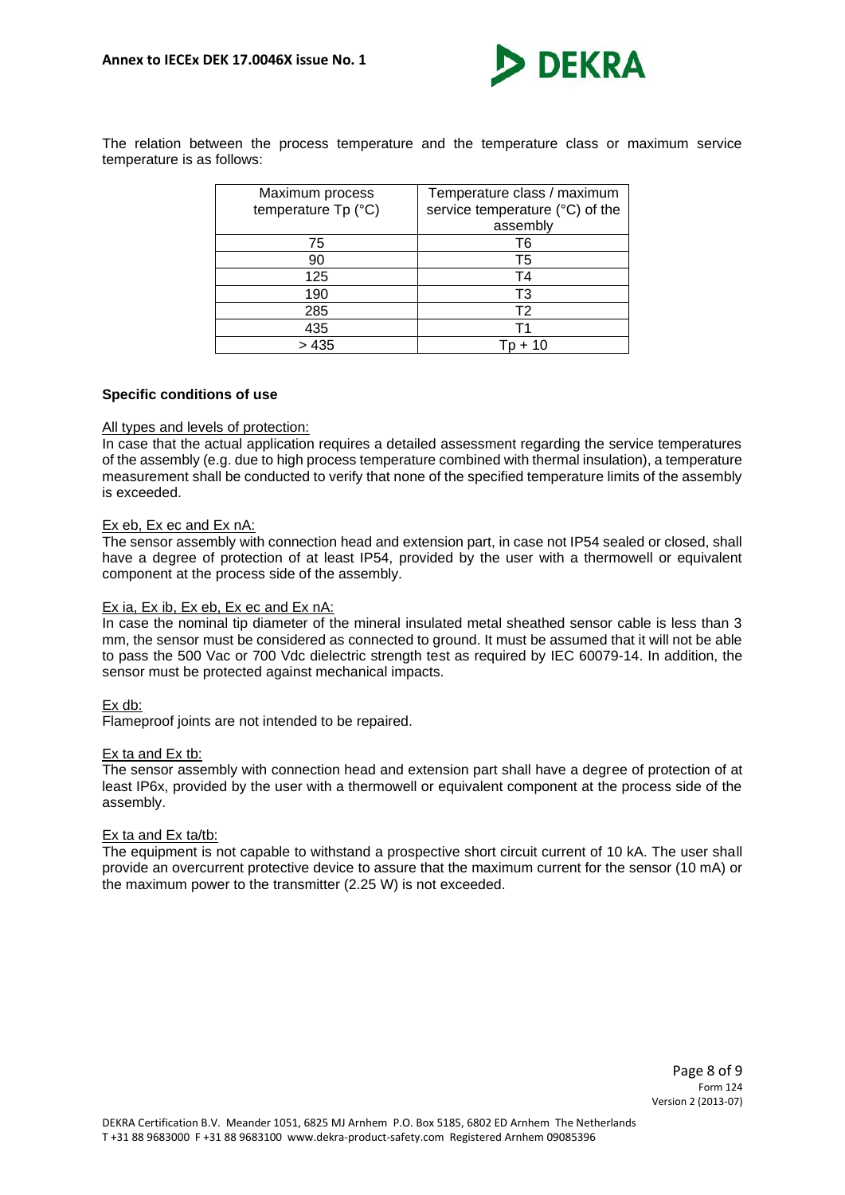

The relation between the process temperature and the temperature class or maximum service temperature is as follows:

| Maximum process<br>temperature Tp (°C) | Temperature class / maximum<br>service temperature (°C) of the<br>assembly |
|----------------------------------------|----------------------------------------------------------------------------|
| 75                                     | Т6                                                                         |
| 90                                     | T5                                                                         |
| 125                                    | T4                                                                         |
| 190                                    | T3                                                                         |
| 285                                    | T <sub>2</sub>                                                             |
| 435                                    | т1                                                                         |
| > 435                                  | + 10                                                                       |

### **Specific conditions of use**

### All types and levels of protection:

In case that the actual application requires a detailed assessment regarding the service temperatures of the assembly (e.g. due to high process temperature combined with thermal insulation), a temperature measurement shall be conducted to verify that none of the specified temperature limits of the assembly is exceeded.

#### Ex eb, Ex ec and Ex nA:

The sensor assembly with connection head and extension part, in case not IP54 sealed or closed, shall have a degree of protection of at least IP54, provided by the user with a thermowell or equivalent component at the process side of the assembly.

#### Ex ia, Ex ib, Ex eb, Ex ec and Ex nA:

In case the nominal tip diameter of the mineral insulated metal sheathed sensor cable is less than 3 mm, the sensor must be considered as connected to ground. It must be assumed that it will not be able to pass the 500 Vac or 700 Vdc dielectric strength test as required by IEC 60079-14. In addition, the sensor must be protected against mechanical impacts.

#### Ex db:

Flameproof joints are not intended to be repaired.

#### Ex ta and Ex tb:

The sensor assembly with connection head and extension part shall have a degree of protection of at least IP6x, provided by the user with a thermowell or equivalent component at the process side of the assembly.

#### Ex ta and Ex ta/tb:

The equipment is not capable to withstand a prospective short circuit current of 10 kA. The user shall provide an overcurrent protective device to assure that the maximum current for the sensor (10 mA) or the maximum power to the transmitter (2.25 W) is not exceeded.